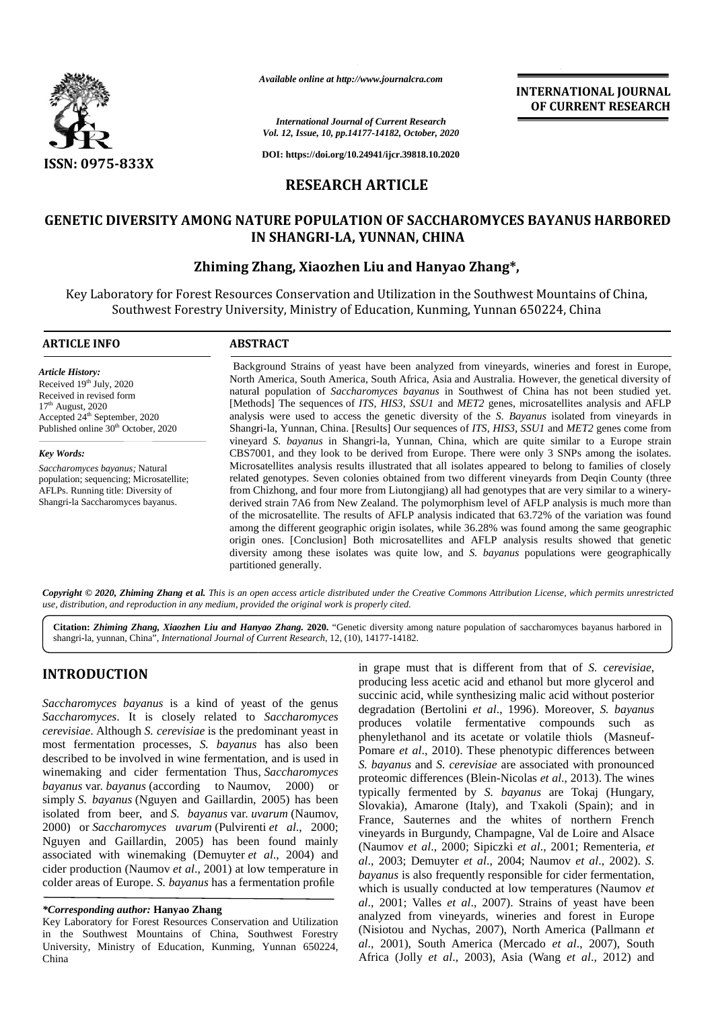

*Available online at http://www.journalcra.com*

**INTERNATIONAL JOURNAL OF CURRENT RESEARCH**

*International Journal of Current Research Vol. 12, Issue, 10, pp.14177-14182, October, 2020*

**DOI: https://doi.org/10.24941/ijcr.39818.10.2020**

## **RESEARCH ARTICLE**

# **GENETIC DIVERSITY AMONG NATURE POPULATION OF SACCHAROMYCES BAYANUS HARBORED OF SACCHAROMYCES BAYANUS HARBORED IN SHANGRI-LA, YUNNAN, CHINA IN**

## **Zhiming Zhang, Xiaozhen Liu and Hanyao Zhang\*,**

Key Laboratory for Forest Resources Conservation and Utilization in the Southwest Mountains of China, oratory for Forest Resources Conservation and Utilization in the Southwest Mountains of China,<br>Southwest Forestry University, Ministry of Education, Kunming, Yunnan 650224, China

#### **ARTICLE INFO ABSTRACT ARTICLE ABSTRACT**

*Article History:* Received  $19<sup>th</sup>$  July, 2020 Received in revised form  $17^{\rm th}$  August, 2020 Received in revised form<br>17<sup>th</sup> August, 2020<br>Accepted 24<sup>th</sup> September, 2020 Published online 30<sup>th</sup> October, 2020

*Key Words:* S*accharomyces bayanus;* Natural population; sequencing; Microsatellite; AFLPs. Running title: Diversity of Shangri-la Saccharomyces bayanus.

Background Strains of yeast have been analyzed from vineyards, wineries and forest in Europe, North America, South America, South Africa, Asia and Australia. However, the genetical diversity of natural population of *Saccharomyces bayanus* in Southwest of China has not been studied yet. [Methods] The sequences of *ITS*, *HIS3*, *SSU1* and *MET2* genes, microsatellites analysis and AFLP analysis were used to access the genetic diversity of the *S. Bayanus* isolated from vineyards in Shangri-la, Yunnan, China. [Results] Our sequences of *ITS*, *HIS3*, *SSU1* and *MET2* genes come from vineyard *S. bayanus* in Shangri-la, Yunnan, China, which are quite similar to a Europe strain CBS7001, and they look to be derived from Europe. There were only 3 SNPs among the isolates. Microsatellites analysis results illustrated that all isolates appeared to belong to families of closely related genotypes. Seven colonies obtained from two different vineyards from Deqin County (three from Chizhong, and four more from Liutongjiang) all had genotypes that are very similar to a winery derived strain 7A6 from New Zealand. The polymorphism level of AFLP analysis is much more than of the microsatellite. The results of AFLP analysis indicated that 63.72% of the variation was found among the different geographic origin isolates, while 36.28% was found among the same geographic origin ones. [Conclusion] Both microsatellites and AFLP analysis results showed that genetic diversity among these isolates was quite low*,* and *S. bayanus* populations were geographically partitioned generally. Background Strains of yeast have been analyzed from vineyards, wineries and forest in E<br>North America, South America, South Africa, Asia and Australia. However, the genetical diver<br>natural population of *Saccharomyces baya* Shangri-la, Yunnan, China. [Results] Our sequences of *ITS*, *HIS3*, *SSU1* and *MET2* genes co<br>vineyard *S. bayanus* in Shangri-la, Yunnan, China, which are quite similar to a Europ<br>CBS7001, and they look to be derived fr **CARRIER CONFERENCE (ADMOSTRATISTED CONSERVER CONFERENCE (ADMOSTRATISTED)**<br>
SERVERT CONFERENCE TO THE ANGELE CONFERENCE (ADMOSTRATISTED) THE ANGELE CONFERENCE TO THE ANGELE CONFERENCE TO THE ANGELE CONFERENCE TO THE ANGEL Available online at http://www.journalcra.com/<br>
CITERNATIONAL<br>
CITERNATION:<br>
CITERNATION:<br>
CITERNATION:<br>
Zhang, *Hanyao Bayao Change (A. 1940, Hanyao Bayao Change 10.2041), present and Hanyao Zhang\*,<br>
City Laboratory for F* **INTERNATIONAL JOURNAL**<br>
and Current Research<br>
10 Current Research<br>
1077-14182, October, 2020<br>
124941/hjer.39818.10.2020<br> **FARTICLE**<br> **FORMATION OF SACCHAROMYCES BAYANUS HARBORED**<br> **FORMATION CONTEXNATION ANCES**<br>
124941/h

**Copyright © 2020, Zhiming Zhang et al.** This is an open access article distributed under the Creative Commons Attribution License, which permits unrestricted<br>use, distribution, and reproduction in any medium, provided the *use, distribution, and reproduction in any medium, provided the original work is properly cited.*

**Citation:** *Zhiming Zhang, Xiaozhen Liu and Hanyao Zhang.* **2020.** "Genetic diversity among nature population of saccharomyces bayanus harbored in shangri-la, yunnan, China", *International Journal of Current Research*, 12, (10), 14177-14182.

# **INTRODUCTION INTRODUCTION**

*Saccharomyces bayanus* is a kind of yeast of the genus *Saccharomyces Saccharomyces*. It is closely related to *Saccharomyces cerevisiae*. Although *S. cerevisiae* is the predominant yeast in most fermentation processes, *S. bayanus* has also been described to be involved in wine fermentation, and is used in winemaking and cider fermentation Thus, *Saccharomyces bayanus* var. *bayanus* (according to Naumov, 2000) or simply *S. bayanus* (Nguyen and Gaillardin, 2005) has been bayanus var. *bayanus* (according to Naumov, 2000) or simply *S. bayanus* (Nguyen and Gaillardin, 2005) has been isolated from beer, and *S. bayanus* var. *uvarum* (Naumov, 2000) or *Saccharomyces uvarum* (Pulvirenti *et al.*, 2000; Nguyen and Gaillardin, 2005) has been found mainly associated with winemaking (Demuyter *et al*., 2004) and cider production (Naumov *et al.*, 2001) at low temperature in have colder areas of Europe. *S. bayanus* has a fermentation profile *Saccharomyces.* It is closely related to *Saccharo cerevisiae*. Although *S. cerevisiae* is the predominant ye most fermentation processes, *S. bayanus* has also described to be involved in wine fermentation, and is u w Nguyen and Gaillardin, 2005) has been found massociated with winemaking (Demuyter *et al.*, 2004) cider production (Naumov *et al.*, 2001) at low temperatu colder areas of Europe. *S. bayanus* has a fermentation pro

Key Laboratory for Forest Resources Conservation and Utilization in the Southwest Mountains of China, Southwest Forestry University, Ministry of Education, Kunming, Yunnan 650224, China

in grape must that is different from that of *S. cerevisiae*, producing less acetic acid and ethanol but more glycerol and succinic acid, while synthesizing malic acid without posterior degradation (Bertolini *et al*., 1996). Moreover, *S. bayanus* produces volatile fermentative compounds such as phenylethanol and its acetate or volatile thiols (Masneuf- Pomare *et al.*, 2010). These phenotypic differences between *S. bayanus* and *S. cerevisiae* are associated with pronounced proteomic differences (Blein-Nicolas *et al*., 2013). The wines typically fermented by *S. bayanus* are Tokaj (Hungary, Slovakia), Amarone (Italy), and Txakoli (Spain); and in France, Sauternes and the whites of northern French vineyards in Burgundy, Champagne, Val de Loire and Alsace (Naumov *et al*., 2000; Sipiczki *et al*., 2001; Rementeria, *et al*., 2003; Demuyter *et al*., 2004; Naumov *et al*., 2002). *S. bayanus* is also frequently responsible for cider fermentation, which is usually conducted at low temperatures (Naumov *et al*., 2001; Valles *et al*., 2007). Strains of yeast have been analyzed from vineyards, wineries and forest in Europe (Nisiotou and Nychas, 2007), North America (Pallmann *et al*., 2001), South America (Mercado *et al*., 2007), South Africa (Jolly *et al*., 2003), Asia (Wang *et al*., 2012) and

*<sup>\*</sup>Corresponding author:* **Hanyao Zhang** *\*Corresponding*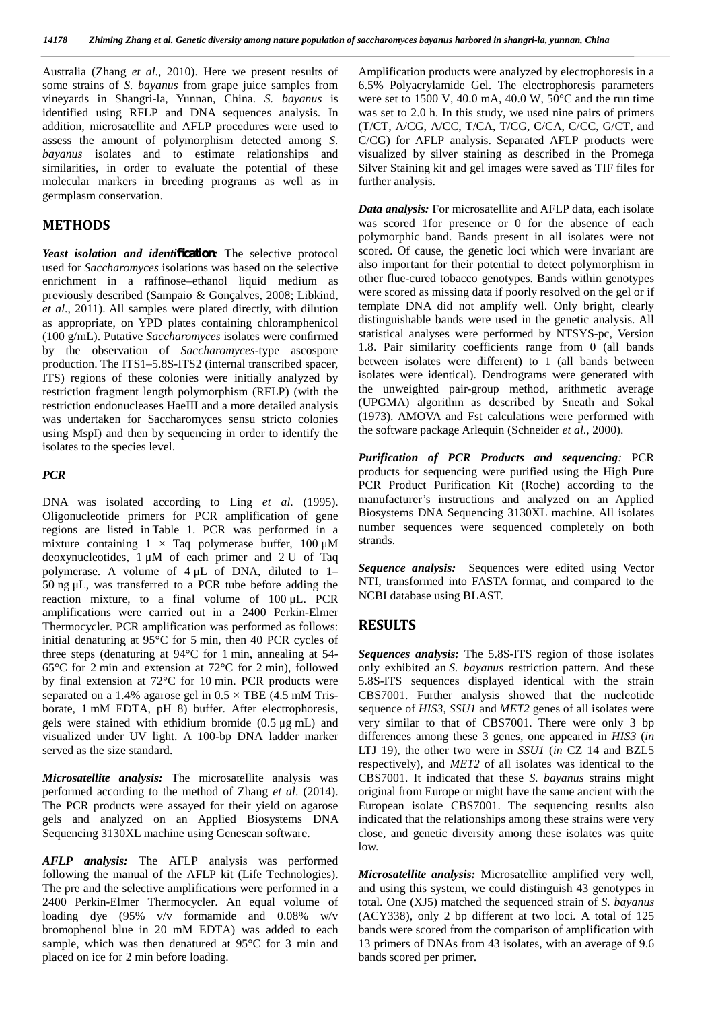Australia (Zhang *et al*., 2010). Here we present results of some strains of *S. bayanus* from grape juice samples from vineyards in Shangri-la, Yunnan, China. *S. bayanus* is identified using RFLP and DNA sequences analysis. In addition, microsatellite and AFLP procedures were used to assess the amount of polymorphism detected among *S. bayanus* isolates and to estimate relationships and similarities, in order to evaluate the potential of these molecular markers in breeding programs as well as in germplasm conservation.

#### **METHODS**

*Yeast isolation and identification:* The selective protocol used for *Saccharomyces* isolations was based on the selective enrichment in a raffinose–ethanol liquid medium as previously described (Sampaio & Gonçalves, 2008; Libkind, *et al*., 2011). All samples were plated directly, with dilution as appropriate, on YPD plates containing chloramphenicol (100 g/mL). Putative *Saccharomyces* isolates were confirmed by the observation of *Saccharomyces*-type ascospore production. The ITS1–5.8S-ITS2 (internal transcribed spacer, ITS) regions of these colonies were initially analyzed by restriction fragment length polymorphism (RFLP) (with the restriction endonucleases HaeIII and a more detailed analysis was undertaken for Saccharomyces sensu stricto colonies using MspI) and then by sequencing in order to identify the isolates to the species level.

#### *PCR*

DNA was isolated according to Ling *et al*. (1995). Oligonucleotide primers for PCR amplification of gene regions are listed in Table 1. PCR was performed in a mixture containing  $1 \times$  Taq polymerase buffer,  $100 \mu M$ deoxynucleotides, 1 μM of each primer and 2 U of Taq polymerase. A volume of 4 μL of DNA, diluted to 1– 50 ng μL, was transferred to a PCR tube before adding the reaction mixture, to a final volume of 100 μL. PCR amplifications were carried out in a 2400 Perkin-Elmer Thermocycler. PCR amplification was performed as follows: initial denaturing at 95°C for 5 min, then 40 PCR cycles of three steps (denaturing at 94°C for 1 min, annealing at 54- 65°C for 2 min and extension at 72°C for 2 min), followed by final extension at 72°C for 10 min. PCR products were separated on a 1.4% agarose gel in  $0.5 \times$  TBE (4.5 mM Trisborate, 1 mM EDTA, pH 8) buffer. After electrophoresis, gels were stained with ethidium bromide (0.5 μg mL) and visualized under UV light. A 100-bp DNA ladder marker served as the size standard.

*Microsatellite analysis:* The microsatellite analysis was performed according to the method of Zhang *et al*. (2014). The PCR products were assayed for their yield on agarose gels and analyzed on an Applied Biosystems DNA Sequencing 3130XL machine using Genescan software.

*AFLP analysis:* The AFLP analysis was performed following the manual of the AFLP kit (Life Technologies). The pre and the selective amplifications were performed in a 2400 Perkin-Elmer Thermocycler. An equal volume of loading dye (95% v/v formamide and 0.08% w/v bromophenol blue in 20 mM EDTA) was added to each sample, which was then denatured at 95°C for 3 min and placed on ice for 2 min before loading.

Amplification products were analyzed by electrophoresis in a 6.5% Polyacrylamide Gel. The electrophoresis parameters were set to 1500 V, 40.0 mA, 40.0 W,  $50^{\circ}$ C and the run time was set to 2.0 h. In this study, we used nine pairs of primers (T/CT, A/CG, A/CC, T/CA, T/CG, C/CA, C/CC, G/CT, and C/CG) for AFLP analysis. Separated AFLP products were visualized by silver staining as described in the Promega Silver Staining kit and gel images were saved as TIF files for further analysis.

*Data analysis:* For microsatellite and AFLP data, each isolate was scored 1for presence or 0 for the absence of each polymorphic band. Bands present in all isolates were not scored. Of cause, the genetic loci which were invariant are also important for their potential to detect polymorphism in other flue-cured tobacco genotypes. Bands within genotypes were scored as missing data if poorly resolved on the gel or if template DNA did not amplify well. Only bright, clearly distinguishable bands were used in the genetic analysis. All statistical analyses were performed by NTSYS-pc, Version 1.8. Pair similarity coefficients range from 0 (all bands between isolates were different) to 1 (all bands between isolates were identical). Dendrograms were generated with the unweighted pair-group method, arithmetic average (UPGMA) algorithm as described by Sneath and Sokal (1973). AMOVA and Fst calculations were performed with the software package Arlequin (Schneider *et al*., 2000).

*Purification of PCR Products and sequencing:* PCR products for sequencing were purified using the High Pure PCR Product Purification Kit (Roche) according to the manufacturer's instructions and analyzed on an Applied Biosystems DNA Sequencing 3130XL machine. All isolates number sequences were sequenced completely on both strands.

*Sequence analysis:* Sequences were edited using Vector NTI, transformed into FASTA format, and compared to the NCBI database using BLAST.

### **RESULTS**

*Sequences analysis:* The 5.8S-ITS region of those isolates only exhibited an *S. bayanus* restriction pattern. And these 5.8S-ITS sequences displayed identical with the strain CBS7001. Further analysis showed that the nucleotide sequence of *HIS3*, *SSU1* and *MET2* genes of all isolates were very similar to that of CBS7001. There were only 3 bp differences among these 3 genes, one appeared in *HIS3* (*in* LTJ 19), the other two were in *SSU1* (*in* CZ 14 and BZL5 respectively), and *MET2* of all isolates was identical to the CBS7001. It indicated that these *S. bayanus* strains might original from Europe or might have the same ancient with the European isolate CBS7001. The sequencing results also indicated that the relationships among these strains were very close, and genetic diversity among these isolates was quite low.

*Microsatellite analysis:* Microsatellite amplified very well, and using this system, we could distinguish 43 genotypes in total. One (XJ5) matched the sequenced strain of *S. bayanus* (ACY338), only 2 bp different at two loci*.* A total of 125 bands were scored from the comparison of amplification with 13 primers of DNAs from 43 isolates, with an average of 9.6 bands scored per primer.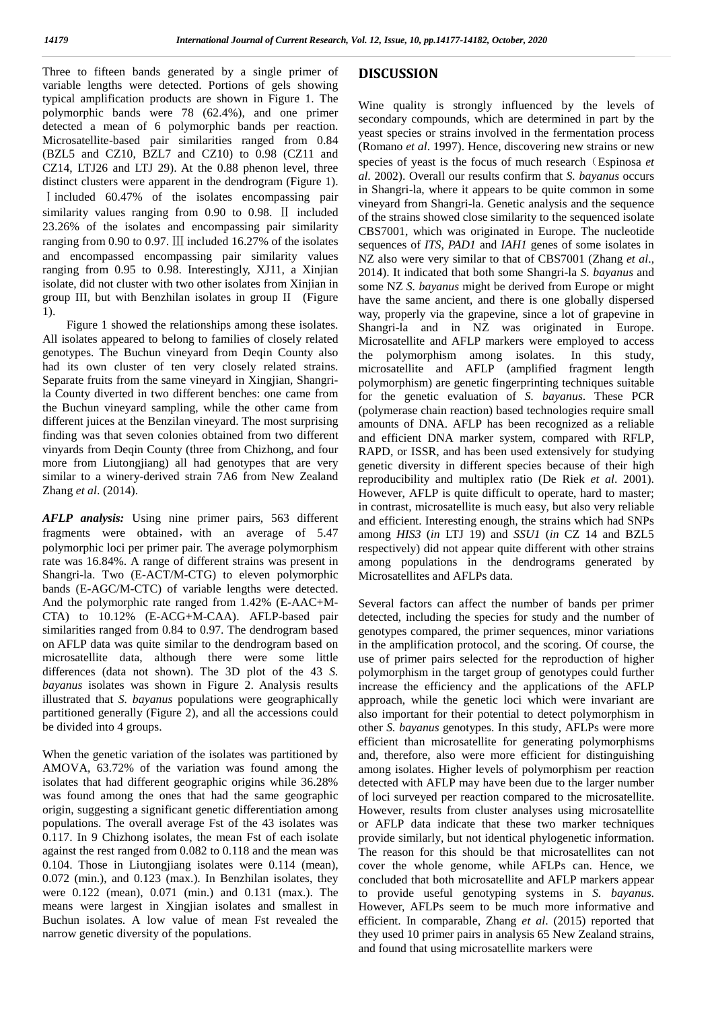Three to fifteen bands generated by a single primer of variable lengths were detected. Portions of gels showing typical amplification products are shown in Figure 1. The polymorphic bands were 78 (62.4%), and one primer detected a mean of 6 polymorphic bands per reaction. Microsatellite-based pair similarities ranged from 0.84 (BZL5 and CZ10, BZL7 and CZ10) to 0.98 (CZ11 and CZ14, LTJ26 and LTJ 29). At the 0.88 phenon level, three distinct clusters were apparent in the dendrogram (Figure 1). Ⅰincluded 60.47% of the isolates encompassing pair similarity values ranging from 0.90 to 0.98. Ⅱ included 23.26% of the isolates and encompassing pair similarity ranging from 0.90 to 0.97. Ⅲ included 16.27% of the isolates and encompassed encompassing pair similarity values ranging from 0.95 to 0.98. Interestingly, XJ11, a Xinjian isolate, did not cluster with two other isolates from Xinjian in group III, but with Benzhilan isolates in group II (Figure 1).

Figure 1 showed the relationships among these isolates. All isolates appeared to belong to families of closely related genotypes. The Buchun vineyard from Deqin County also had its own cluster of ten very closely related strains. Separate fruits from the same vineyard in Xingjian, Shangrila County diverted in two different benches: one came from the Buchun vineyard sampling, while the other came from different juices at the Benzilan vineyard. The most surprising finding was that seven colonies obtained from two different vinyards from Deqin County (three from Chizhong, and four more from Liutongjiang) all had genotypes that are very similar to a winery-derived strain 7A6 from New Zealand Zhang *et al*. (2014).

*AFLP analysis:* Using nine primer pairs, 563 different fragments were obtained, with an average of 5.47 polymorphic loci per primer pair. The average polymorphism rate was 16.84%. A range of different strains was present in Shangri-la. Two (E-ACT/M-CTG) to eleven polymorphic bands (E-AGC/M-CTC) of variable lengths were detected. And the polymorphic rate ranged from 1.42% (E-AAC+M- CTA) to 10.12% (E-ACG+M-CAA). AFLP-based pair similarities ranged from 0.84 to 0.97. The dendrogram based on AFLP data was quite similar to the dendrogram based on microsatellite data, although there were some little differences (data not shown). The 3D plot of the 43 *S. bayanus* isolates was shown in Figure 2. Analysis results illustrated that *S. bayanus* populations were geographically partitioned generally (Figure 2), and all the accessions could be divided into 4 groups.

When the genetic variation of the isolates was partitioned by AMOVA, 63.72% of the variation was found among the isolates that had different geographic origins while 36.28% was found among the ones that had the same geographic origin, suggesting a significant genetic differentiation among populations. The overall average Fst of the 43 isolates was 0.117. In 9 Chizhong isolates, the mean Fst of each isolate against the rest ranged from 0.082 to 0.118 and the mean was 0.104. Those in Liutongjiang isolates were 0.114 (mean), 0.072 (min.), and 0.123 (max.). In Benzhilan isolates, they were 0.122 (mean), 0.071 (min.) and 0.131 (max.). The means were largest in Xingjian isolates and smallest in Buchun isolates. A low value of mean Fst revealed the narrow genetic diversity of the populations.

### **DISCUSSION**

Wine quality is strongly influenced by the levels of secondary compounds, which are determined in part by the yeast species or strains involved in the fermentation process (Romano *et al*. 1997). Hence, discovering new strains or new species of yeast is the focus of much research (Espinosa *et*) *al*. 2002). Overall our results confirm that *S. bayanus* occurs in Shangri-la, where it appears to be quite common in some vineyard from Shangri-la. Genetic analysis and the sequence of the strains showed close similarity to the sequenced isolate CBS7001, which was originated in Europe. The nucleotide sequences of *ITS*, *PAD1* and *IAH1* genes of some isolates in NZ also were very similar to that of CBS7001 (Zhang *et al*., 2014). It indicated that both some Shangri-la *S. bayanus* and some NZ *S. bayanus* might be derived from Europe or might have the same ancient, and there is one globally dispersed way, properly via the grapevine, since a lot of grapevine in Shangri-la and in NZ was originated in Europe. Microsatellite and AFLP markers were employed to access the polymorphism among isolates. In this study, microsatellite and AFLP (amplified fragment length polymorphism) are genetic fingerprinting techniques suitable for the genetic evaluation of *S. bayanus*. These PCR (polymerase chain reaction) based technologies require small amounts of DNA. AFLP has been recognized as a reliable and efficient DNA marker system, compared with RFLP, RAPD, or ISSR, and has been used extensively for studying genetic diversity in different species because of their high reproducibility and multiplex ratio (De Riek *et al*. 2001). However, AFLP is quite difficult to operate, hard to master; in contrast, microsatellite is much easy, but also very reliable and efficient. Interesting enough, the strains which had SNPs among *HIS3* (*in* LTJ 19) and *SSU1* (*in* CZ 14 and BZL5 respectively) did not appear quite different with other strains among populations in the dendrograms generated by Microsatellites and AFLPs data.

Several factors can affect the number of bands per primer detected, including the species for study and the number of genotypes compared, the primer sequences, minor variations in the amplification protocol, and the scoring. Of course, the use of primer pairs selected for the reproduction of higher polymorphism in the target group of genotypes could further increase the efficiency and the applications of the AFLP approach, while the genetic loci which were invariant are also important for their potential to detect polymorphism in other *S. bayanus* genotypes. In this study, AFLPs were more efficient than microsatellite for generating polymorphisms and, therefore, also were more efficient for distinguishing among isolates. Higher levels of polymorphism per reaction detected with AFLP may have been due to the larger number of loci surveyed per reaction compared to the microsatellite. However, results from cluster analyses using microsatellite or AFLP data indicate that these two marker techniques provide similarly, but not identical phylogenetic information. The reason for this should be that microsatellites can not cover the whole genome, while AFLPs can. Hence, we concluded that both microsatellite and AFLP markers appear to provide useful genotyping systems in *S. bayanus*. However, AFLPs seem to be much more informative and efficient. In comparable, Zhang *et al*. (2015) reported that they used 10 primer pairs in analysis 65 New Zealand strains, and found that using microsatellite markers were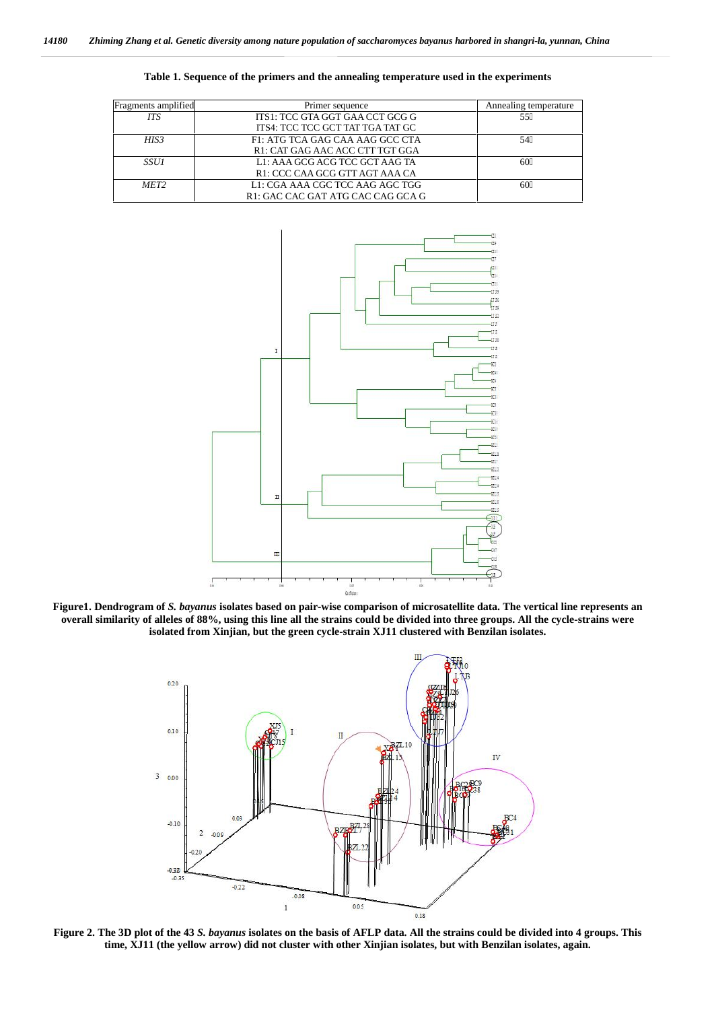| Fragments amplified | Primer sequence                   | Annealing temperature |
|---------------------|-----------------------------------|-----------------------|
| <b>ITS</b>          | ITS1: TCC GTA GGT GAA CCT GCG G   | 55                    |
|                     | ITS4: TCC TCC GCT TAT TGA TAT GC  |                       |
| HIS <sub>3</sub>    | F1: ATG TCA GAG CAA AAG GCC CTA   |                       |
|                     | R1: CAT GAG AAC ACC CTT TGT GGA   |                       |
| <i>SSU1</i>         | L1: AAA GCG ACG TCC GCT AAG TA    | 60                    |
|                     | R1: CCC CAA GCG GTT AGT AAA CA    |                       |
| MET <sub>2</sub>    | L1: CGA AAA CGC TCC AAG AGC TGG   | 60                    |
|                     | R1: GAC CAC GAT ATG CAC CAG GCA G |                       |





**Figure1. Dendrogram of** *S. bayanus* **isolates based on pair-wise comparison of microsatellite data. The vertical line represents an overall similarity of alleles of 88%, using this line all the strains could be divided into three groups. All the cycle-strains were isolated from Xinjian, but the green cycle-strain XJ11 clustered with Benzilan isolates.**



**Figure 2. The 3D plot of the 43** *S. bayanus* **isolates on the basis of AFLP data. All the strains could be divided into 4 groups. This time, XJ11 (the yellow arrow) did not cluster with other Xinjian isolates, but with Benzilan isolates, again.**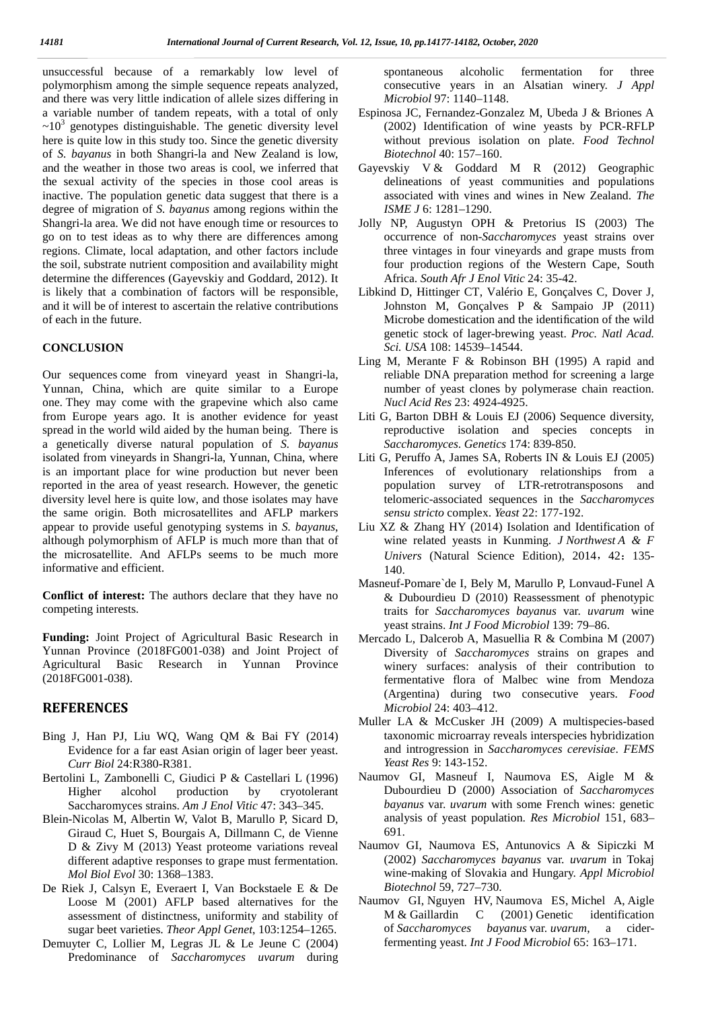unsuccessful because of a remarkably low level of polymorphism among the simple sequence repeats analyzed, and there was very little indication of allele sizes differing in a variable number of tandem repeats, with a total of only  $\sim 10^3$  genotypes distinguishable. The genetic diversity level here is quite low in this study too. Since the genetic diversity of *S. bayanus* in both Shangri-la and New Zealand is low, and the weather in those two areas is cool, we inferred that the sexual activity of the species in those cool areas is inactive. The population genetic data suggest that there is a degree of migration of *S. bayanus* among regions within the Shangri-la area. We did not have enough time or resources to go on to test ideas as to why there are differences among regions. Climate, local adaptation, and other factors include the soil, substrate nutrient composition and availability might determine the differences (Gayevskiy and Goddard, 2012). It is likely that a combination of factors will be responsible, and it will be of interest to ascertain the relative contributions of each in the future.

#### **CONCLUSION**

Our sequences come from vineyard yeast in Shangri-la, Yunnan, China, which are quite similar to a Europe one. They may come with the grapevine which also came from Europe years ago. It is another evidence for yeast spread in the world wild aided by the human being. There is a genetically diverse natural population of *S. bayanus* isolated from vineyards in Shangri-la, Yunnan, China, where is an important place for wine production but never been reported in the area of yeast research. However, the genetic diversity level here is quite low, and those isolates may have the same origin. Both microsatellites and AFLP markers appear to provide useful genotyping systems in *S. bayanus*, although polymorphism of AFLP is much more than that of the microsatellite. And AFLPs seems to be much more informative and efficient.

**Conflict of interest:** The authors declare that they have no competing interests.

**Funding:** Joint Project of Agricultural Basic Research in Yunnan Province (2018FG001-038) and Joint Project of Agricultural Basic Research in Yunnan Province (2018FG001-038).

#### **REFERENCES**

- Bing J, Han PJ, Liu WQ, Wang QM & Bai FY (2014) Evidence for a far east Asian origin of lager beer yeast. *Curr Biol* 24:R380-R381.
- Bertolini L, Zambonelli C, Giudici P & Castellari L (1996) Higher alcohol production by cryotolerant Saccharomyces strains. *Am J Enol Vitic* 47: 343–345.
- Blein-Nicolas M, Albertin W, Valot B, Marullo P, Sicard D, Giraud C, Huet S, Bourgais A, Dillmann C, de Vienne D & Zivy M (2013) Yeast proteome variations reveal different adaptive responses to grape must fermentation. *Mol Biol Evol* 30: 1368–1383.
- De Riek J, Calsyn E, Everaert I, Van Bockstaele E & De Loose M (2001) AFLP based alternatives for the assessment of distinctness, uniformity and stability of sugar beet varieties. *Theor Appl Genet*, 103:1254–1265.
- Demuyter C, Lollier M, Legras JL & Le Jeune C (2004) Predominance of *Saccharomyces uvarum* during

spontaneous alcoholic fermentation for three consecutive years in an Alsatian winery. *J Appl Microbiol* 97: 1140–1148.

- Espinosa JC, Fernandez-Gonzalez M, Ubeda J & Briones A (2002) Identification of wine yeasts by PCR-RFLP without previous isolation on plate. *Food Technol Biotechnol* 40: 157–160.
- Gayevskiy V & Goddard M R (2012) Geographic delineations of yeast communities and populations associated with vines and wines in New Zealand. *The ISME J* 6: 1281–1290.
- Jolly NP, Augustyn OPH & Pretorius IS (2003) The occurrence of non-*Saccharomyces* yeast strains over three vintages in four vineyards and grape musts from four production regions of the Western Cape, South Africa. *South Afr J Enol Vitic* 24: 35-42.
- Libkind D, Hittinger CT, Valério E, Gonçalves C, Dover J, Johnston M, Gonçalves P & Sampaio JP (2011) Microbe domestication and the identification of the wild genetic stock of lager-brewing yeast. *Proc. Natl Acad. Sci. USA* 108: 14539–14544.
- Ling M, Merante F & Robinson BH (1995) A rapid and reliable DNA preparation method for screening a large number of yeast clones by polymerase chain reaction. *Nucl Acid Res* 23: 4924-4925.
- Liti G, Barton DBH & Louis EJ (2006) Sequence diversity, reproductive isolation and species concepts in *Saccharomyces*. *Genetics* 174: 839-850.
- Liti G, Peruffo A, James SA, Roberts IN & Louis EJ (2005) Inferences of evolutionary relationships from a population survey of LTR-retrotransposons and telomeric-associated sequences in the *Saccharomyces sensu stricto* complex. *Yeast* 22: 177-192.
- Liu XZ & Zhang HY (2014) Isolation and Identification of wine related yeasts in Kunming. *J Northwest A & F Univers* (Natural Science Edition), 2014, 42: 135-140.
- Masneuf-Pomare`de I, Bely M, Marullo P, Lonvaud-Funel A & Dubourdieu D (2010) Reassessment of phenotypic traits for *Saccharomyces bayanus* var. *uvarum* wine yeast strains. *Int J Food Microbiol* 139: 79–86.
- Mercado L, Dalcerob A, Masuellia R & Combina M (2007) Diversity of *Saccharomyces* strains on grapes and winery surfaces: analysis of their contribution to fermentative flora of Malbec wine from Mendoza (Argentina) during two consecutive years. *Food Microbiol* 24: 403–412.
- Muller LA & McCusker JH (2009) A multispecies-based taxonomic microarray reveals interspecies hybridization and introgression in *Saccharomyces cerevisiae*. *FEMS Yeast Res* 9: 143-152.
- Naumov GI, Masneuf I, Naumova ES, Aigle M & Dubourdieu D (2000) Association of *Saccharomyces bayanus* var. *uvarum* with some French wines: genetic analysis of yeast population. *Res Microbiol* 151, 683– 691.
- Naumov GI, Naumova ES, Antunovics A & Sipiczki M (2002) *Saccharomyces bayanus* var. *uvarum* in Tokaj wine-making of Slovakia and Hungary. *Appl Microbiol Biotechnol* 59, 727–730.
- Naumov GI, Nguyen HV, Naumova ES, Michel A, Aigle M & Gaillardin C (2001) Genetic identification of *Saccharomyces bayanus* var. *uvarum*, a ciderfermenting yeast. *Int J Food Microbiol* 65: 163–171.